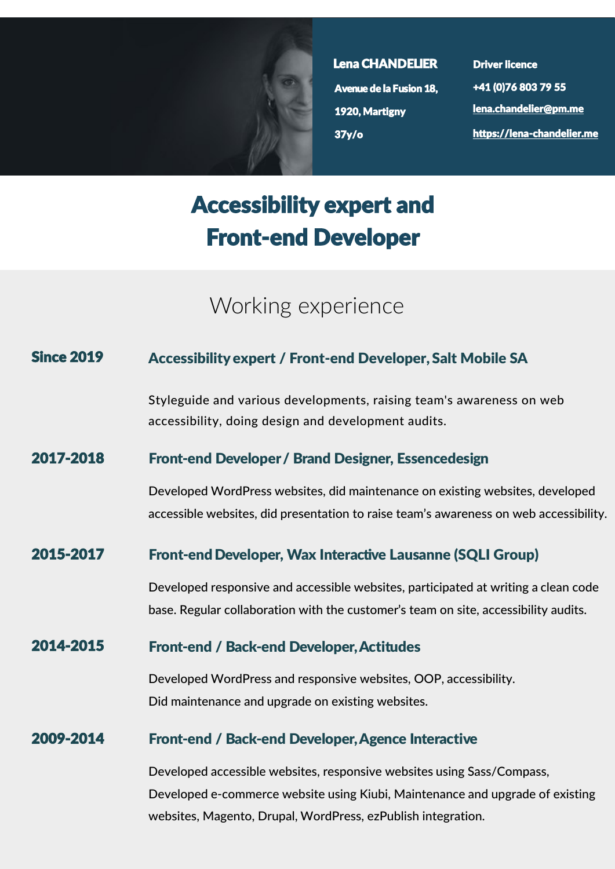

Lena CHANDELIER Avenue de la Fusion 18, 1920, Martigny 37y/o

Driver licence +41 (0)76 803 79 55 [lena.chandelier@pm.me](mailto:lena.chandelier@pm.me) https://lena-[chandelier.me](https://lena-chandelier.me)

# Accessibility expert and Front-end Developer

## Working experience

#### Since 2019 Accessibility expert / Front-end Developer, Salt Mobile SA

Styleguide and various developments, raising team's awareness on web accessibility, doing design and development audits.

#### 2017-2018 Front-end Developer / Brand Designer, Essencedesign

Developed WordPress websites, did maintenance on existing websites, developed accessible websites, did presentation to raise team's awareness on web accessibility.

#### 2015-2017 Front-end Developer, Wax Interactive Lausanne (SQLI Group)

Developed responsive and accessible websites, participated at writing a clean code base. Regular collaboration with the customer's team on site, accessibility audits.

#### 2014-2015 Front-end / Back-end Developer, Actitudes

Developed WordPress and responsive websites, OOP, accessibility. Did maintenance and upgrade on existing websites.

#### 2009-2014 Front-end / Back-end Developer, Agence Interactive

Developed accessible websites, responsive websites using Sass/Compass, Developed e-commerce website using Kiubi, Maintenance and upgrade of existing websites, Magento, Drupal, WordPress, ezPublish integration.